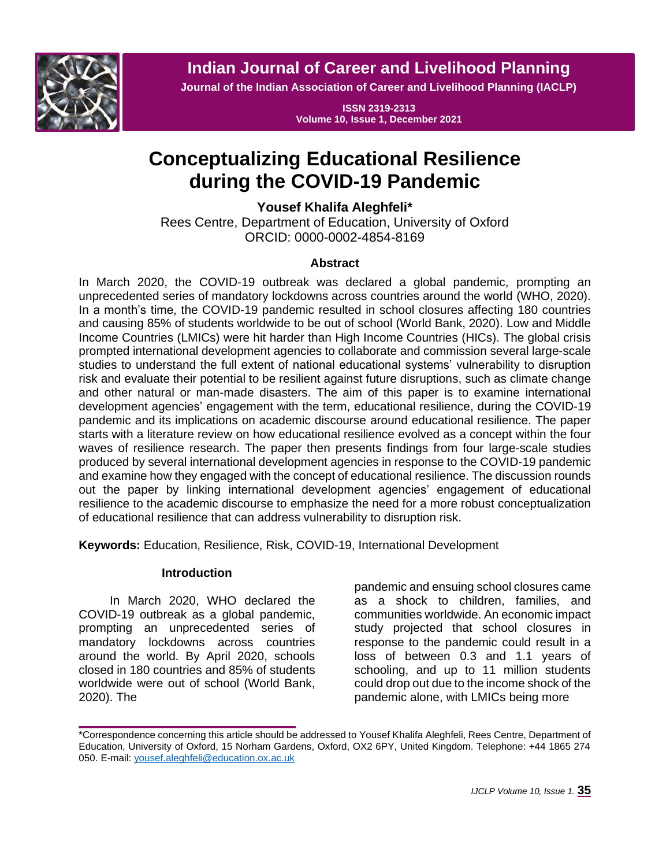

**Indian Journal of Career and Livelihood Planning**

**Journal of the Indian Association of Career and Livelihood Planning (IACLP)**

**ISSN 2319-2313 Volume 10, Issue 1, December 2021**

# **Conceptualizing Educational Resilience during the COVID-19 Pandemic**

**Yousef Khalifa Aleghfeli\***

Rees Centre, Department of Education, University of Oxford ORCID: 0000-0002-4854-8169

# **Abstract**

In March 2020, the COVID-19 outbreak was declared a global pandemic, prompting an unprecedented series of mandatory lockdowns across countries around the world (WHO, 2020). In a month's time, the COVID-19 pandemic resulted in school closures affecting 180 countries and causing 85% of students worldwide to be out of school (World Bank, 2020). Low and Middle Income Countries (LMICs) were hit harder than High Income Countries (HICs). The global crisis prompted international development agencies to collaborate and commission several large-scale studies to understand the full extent of national educational systems' vulnerability to disruption risk and evaluate their potential to be resilient against future disruptions, such as climate change and other natural or man-made disasters. The aim of this paper is to examine international development agencies' engagement with the term, educational resilience, during the COVID-19 pandemic and its implications on academic discourse around educational resilience. The paper starts with a literature review on how educational resilience evolved as a concept within the four waves of resilience research. The paper then presents findings from four large-scale studies produced by several international development agencies in response to the COVID-19 pandemic and examine how they engaged with the concept of educational resilience. The discussion rounds out the paper by linking international development agencies' engagement of educational resilience to the academic discourse to emphasize the need for a more robust conceptualization of educational resilience that can address vulnerability to disruption risk.

**Keywords:** Education, Resilience, Risk, COVID-19, International Development

## **Introduction**

In March 2020, WHO declared the COVID-19 outbreak as a global pandemic, prompting an unprecedented series of mandatory lockdowns across countries around the world. By April 2020, schools closed in 180 countries and 85% of students worldwide were out of school (World Bank, 2020). The

pandemic and ensuing school closures came as a shock to children, families, and communities worldwide. An economic impact study projected that school closures in response to the pandemic could result in a loss of between 0.3 and 1.1 years of schooling, and up to 11 million students could drop out due to the income shock of the pandemic alone, with LMICs being more

<sup>\*</sup>Correspondence concerning this article should be addressed to Yousef Khalifa Aleghfeli, Rees Centre, Department of Education, University of Oxford, 15 Norham Gardens, Oxford, OX2 6PY, United Kingdom. Telephone: +44 1865 274 050. E-mail[: yousef.aleghfeli@education.ox.ac.uk](mailto:yousef.aleghfeli@education.ox.ac.uk)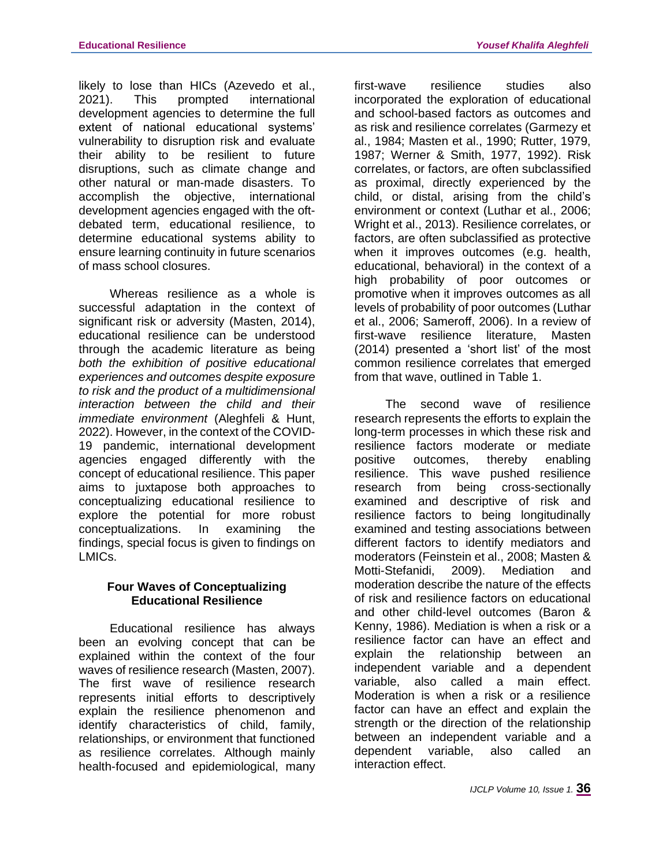likely to lose than HICs (Azevedo et al., 2021). This prompted international development agencies to determine the full extent of national educational systems' vulnerability to disruption risk and evaluate their ability to be resilient to future disruptions, such as climate change and other natural or man-made disasters. To accomplish the objective, international development agencies engaged with the oftdebated term, educational resilience, to determine educational systems ability to ensure learning continuity in future scenarios of mass school closures.

Whereas resilience as a whole is successful adaptation in the context of significant risk or adversity (Masten, 2014), educational resilience can be understood through the academic literature as being *both the exhibition of positive educational experiences and outcomes despite exposure to risk and the product of a multidimensional interaction between the child and their immediate environment* (Aleghfeli & Hunt, 2022). However, in the context of the COVID-19 pandemic, international development agencies engaged differently with the concept of educational resilience. This paper aims to juxtapose both approaches to conceptualizing educational resilience to explore the potential for more robust conceptualizations. In examining the findings, special focus is given to findings on LMICs.

# **Four Waves of Conceptualizing Educational Resilience**

Educational resilience has always been an evolving concept that can be explained within the context of the four waves of resilience research (Masten, 2007). The first wave of resilience research represents initial efforts to descriptively explain the resilience phenomenon and identify characteristics of child, family, relationships, or environment that functioned as resilience correlates. Although mainly health-focused and epidemiological, many first-wave resilience studies also incorporated the exploration of educational and school-based factors as outcomes and as risk and resilience correlates (Garmezy et al., 1984; Masten et al., 1990; Rutter, 1979, 1987; Werner & Smith, 1977, 1992). Risk correlates, or factors, are often subclassified as proximal, directly experienced by the child, or distal, arising from the child's environment or context (Luthar et al., 2006; Wright et al., 2013). Resilience correlates, or factors, are often subclassified as protective when it improves outcomes (e.g. health, educational, behavioral) in the context of a high probability of poor outcomes or promotive when it improves outcomes as all levels of probability of poor outcomes (Luthar et al., 2006; Sameroff, 2006). In a review of first-wave resilience literature, Masten (2014) presented a 'short list' of the most common resilience correlates that emerged from that wave, outlined in Table 1.

The second wave of resilience research represents the efforts to explain the long-term processes in which these risk and resilience factors moderate or mediate positive outcomes, thereby enabling resilience. This wave pushed resilience research from being cross-sectionally examined and descriptive of risk and resilience factors to being longitudinally examined and testing associations between different factors to identify mediators and moderators (Feinstein et al., 2008; Masten & Motti-Stefanidi, 2009). Mediation and moderation describe the nature of the effects of risk and resilience factors on educational and other child-level outcomes (Baron & Kenny, 1986). Mediation is when a risk or a resilience factor can have an effect and explain the relationship between an independent variable and a dependent variable, also called a main effect. Moderation is when a risk or a resilience factor can have an effect and explain the strength or the direction of the relationship between an independent variable and a dependent variable, also called an interaction effect.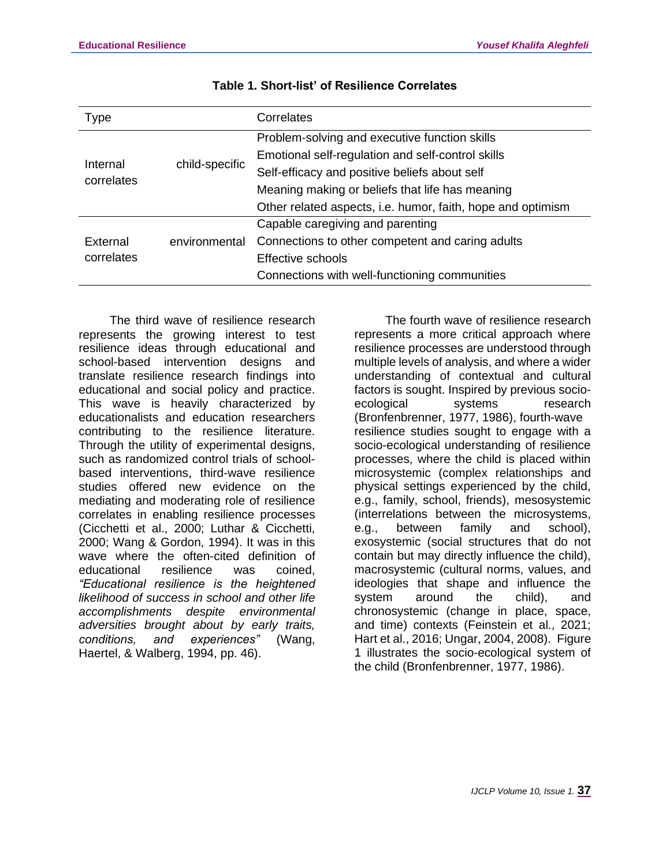| <b>Type</b>            |                | Correlates                                                  |
|------------------------|----------------|-------------------------------------------------------------|
|                        | child-specific | Problem-solving and executive function skills               |
|                        |                | Emotional self-regulation and self-control skills           |
| Internal<br>correlates |                | Self-efficacy and positive beliefs about self               |
|                        |                | Meaning making or beliefs that life has meaning             |
|                        |                | Other related aspects, i.e. humor, faith, hope and optimism |
|                        |                | Capable caregiving and parenting                            |
| External               | environmental  | Connections to other competent and caring adults            |
| correlates             |                | Effective schools                                           |
|                        |                | Connections with well-functioning communities               |

The third wave of resilience research represents the growing interest to test resilience ideas through educational and school-based intervention designs and translate resilience research findings into educational and social policy and practice. This wave is heavily characterized by educationalists and education researchers contributing to the resilience literature. Through the utility of experimental designs, such as randomized control trials of schoolbased interventions, third-wave resilience studies offered new evidence on the mediating and moderating role of resilience correlates in enabling resilience processes (Cicchetti et al., 2000; Luthar & Cicchetti, 2000; Wang & Gordon, 1994). It was in this wave where the often-cited definition of educational resilience was coined, *"Educational resilience is the heightened likelihood of success in school and other life accomplishments despite environmental adversities brought about by early traits, conditions, and experiences"* (Wang, Haertel, & Walberg, 1994, pp. 46).

The fourth wave of resilience research represents a more critical approach where resilience processes are understood through multiple levels of analysis, and where a wider understanding of contextual and cultural factors is sought. Inspired by previous socioecological systems research (Bronfenbrenner, 1977, 1986), fourth-wave resilience studies sought to engage with a socio-ecological understanding of resilience processes, where the child is placed within microsystemic (complex relationships and physical settings experienced by the child, e.g., family, school, friends), mesosystemic (interrelations between the microsystems, e.g., between family and school), exosystemic (social structures that do not contain but may directly influence the child), macrosystemic (cultural norms, values, and ideologies that shape and influence the system around the child), and chronosystemic (change in place, space, and time) contexts (Feinstein et al., 2021; Hart et al., 2016; Ungar, 2004, 2008). Figure 1 illustrates the socio-ecological system of the child (Bronfenbrenner, 1977, 1986).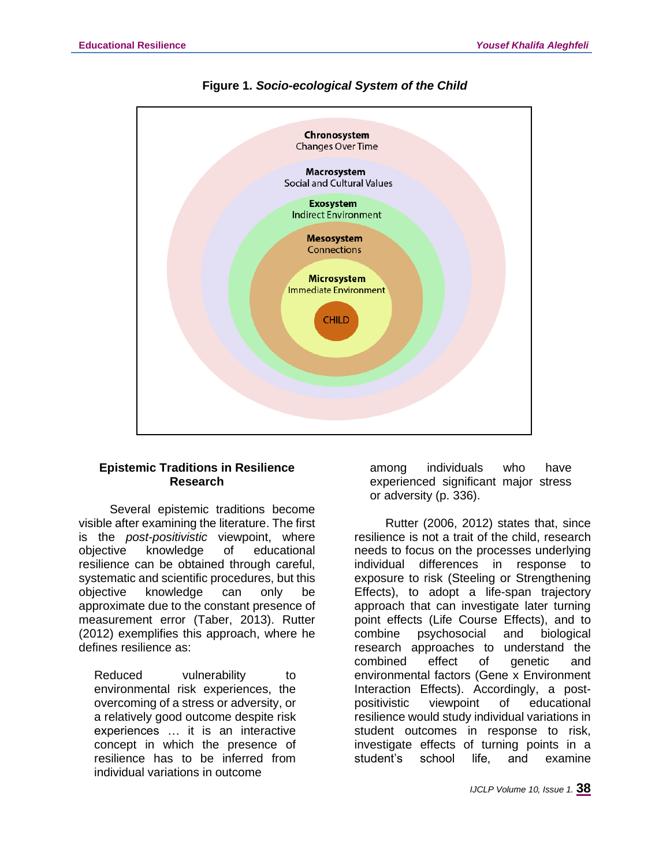



## **Epistemic Traditions in Resilience Research**

Several epistemic traditions become visible after examining the literature. The first is the *post-positivistic* viewpoint, where objective knowledge of educational resilience can be obtained through careful, systematic and scientific procedures, but this objective knowledge can only be approximate due to the constant presence of measurement error (Taber, 2013). Rutter (2012) exemplifies this approach, where he defines resilience as:

Reduced vulnerability to environmental risk experiences, the overcoming of a stress or adversity, or a relatively good outcome despite risk experiences … it is an interactive concept in which the presence of resilience has to be inferred from individual variations in outcome

among individuals who have experienced significant major stress or adversity (p. 336).

Rutter (2006, 2012) states that, since resilience is not a trait of the child, research needs to focus on the processes underlying individual differences in response to exposure to risk (Steeling or Strengthening Effects), to adopt a life-span trajectory approach that can investigate later turning point effects (Life Course Effects), and to combine psychosocial and biological research approaches to understand the combined effect of genetic and environmental factors (Gene x Environment Interaction Effects). Accordingly, a postpositivistic viewpoint of educational resilience would study individual variations in student outcomes in response to risk, investigate effects of turning points in a student's school life, and examine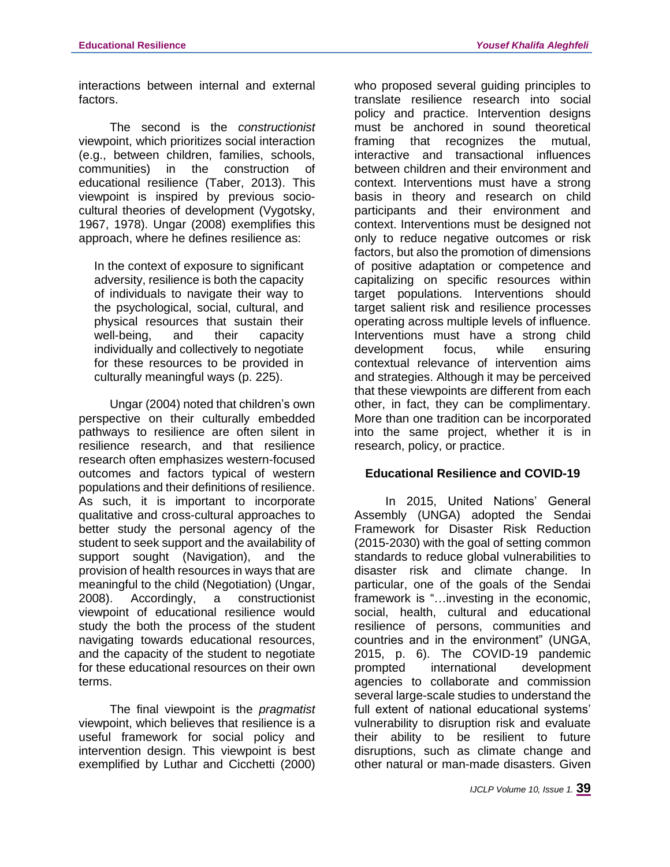interactions between internal and external factors.

The second is the *constructionist* viewpoint, which prioritizes social interaction (e.g., between children, families, schools, communities) in the construction of educational resilience (Taber, 2013). This viewpoint is inspired by previous sociocultural theories of development (Vygotsky, 1967, 1978). Ungar (2008) exemplifies this approach, where he defines resilience as:

In the context of exposure to significant adversity, resilience is both the capacity of individuals to navigate their way to the psychological, social, cultural, and physical resources that sustain their well-being, and their capacity individually and collectively to negotiate for these resources to be provided in culturally meaningful ways (p. 225).

Ungar (2004) noted that children's own perspective on their culturally embedded pathways to resilience are often silent in resilience research, and that resilience research often emphasizes western-focused outcomes and factors typical of western populations and their definitions of resilience. As such, it is important to incorporate qualitative and cross-cultural approaches to better study the personal agency of the student to seek support and the availability of support sought (Navigation), and the provision of health resources in ways that are meaningful to the child (Negotiation) (Ungar, 2008). Accordingly, a constructionist viewpoint of educational resilience would study the both the process of the student navigating towards educational resources, and the capacity of the student to negotiate for these educational resources on their own terms.

The final viewpoint is the *pragmatist* viewpoint, which believes that resilience is a useful framework for social policy and intervention design. This viewpoint is best exemplified by Luthar and Cicchetti (2000)

who proposed several quiding principles to translate resilience research into social policy and practice. Intervention designs must be anchored in sound theoretical framing that recognizes the mutual, interactive and transactional influences between children and their environment and context. Interventions must have a strong basis in theory and research on child participants and their environment and context. Interventions must be designed not only to reduce negative outcomes or risk factors, but also the promotion of dimensions of positive adaptation or competence and capitalizing on specific resources within target populations. Interventions should target salient risk and resilience processes operating across multiple levels of influence. Interventions must have a strong child development focus, while ensuring contextual relevance of intervention aims and strategies. Although it may be perceived that these viewpoints are different from each other, in fact, they can be complimentary. More than one tradition can be incorporated into the same project, whether it is in research, policy, or practice.

# **Educational Resilience and COVID-19**

In 2015, United Nations' General Assembly (UNGA) adopted the Sendai Framework for Disaster Risk Reduction (2015-2030) with the goal of setting common standards to reduce global vulnerabilities to disaster risk and climate change. In particular, one of the goals of the Sendai framework is "…investing in the economic, social, health, cultural and educational resilience of persons, communities and countries and in the environment" (UNGA, 2015, p. 6). The COVID-19 pandemic prompted international development agencies to collaborate and commission several large-scale studies to understand the full extent of national educational systems' vulnerability to disruption risk and evaluate their ability to be resilient to future disruptions, such as climate change and other natural or man-made disasters. Given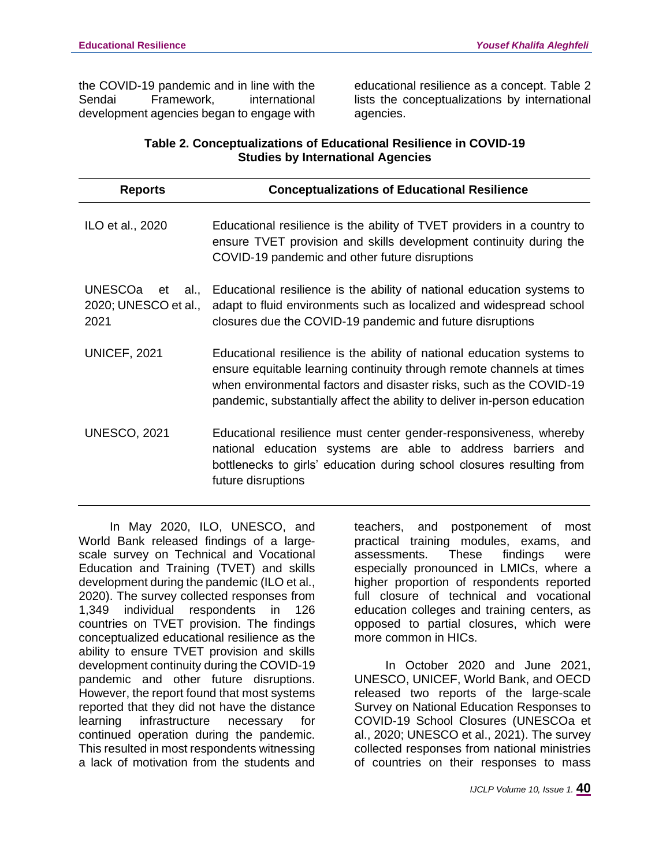the COVID-19 pandemic and in line with the Sendai Framework, international development agencies began to engage with

educational resilience as a concept. Table 2 lists the conceptualizations by international agencies.

# **Table 2. Conceptualizations of Educational Resilience in COVID-19 Studies by International Agencies**

| <b>Reports</b>                                               | <b>Conceptualizations of Educational Resilience</b>                                                                                                                                                                                                                                                 |
|--------------------------------------------------------------|-----------------------------------------------------------------------------------------------------------------------------------------------------------------------------------------------------------------------------------------------------------------------------------------------------|
| ILO et al., 2020                                             | Educational resilience is the ability of TVET providers in a country to<br>ensure TVET provision and skills development continuity during the<br>COVID-19 pandemic and other future disruptions                                                                                                     |
| <b>UNESCOa</b><br>al.,<br>et<br>2020; UNESCO et al.,<br>2021 | Educational resilience is the ability of national education systems to<br>adapt to fluid environments such as localized and widespread school<br>closures due the COVID-19 pandemic and future disruptions                                                                                          |
| <b>UNICEF, 2021</b>                                          | Educational resilience is the ability of national education systems to<br>ensure equitable learning continuity through remote channels at times<br>when environmental factors and disaster risks, such as the COVID-19<br>pandemic, substantially affect the ability to deliver in-person education |
| <b>UNESCO, 2021</b>                                          | Educational resilience must center gender-responsiveness, whereby<br>national education systems are able to address barriers and<br>bottlenecks to girls' education during school closures resulting from<br>future disruptions                                                                     |

In May 2020, ILO, UNESCO, and World Bank released findings of a largescale survey on Technical and Vocational Education and Training (TVET) and skills development during the pandemic (ILO et al., 2020). The survey collected responses from 1,349 individual respondents in 126 countries on TVET provision. The findings conceptualized educational resilience as the ability to ensure TVET provision and skills development continuity during the COVID-19 pandemic and other future disruptions. However, the report found that most systems reported that they did not have the distance learning infrastructure necessary for continued operation during the pandemic. This resulted in most respondents witnessing a lack of motivation from the students and

teachers, and postponement of most practical training modules, exams, and assessments. These findings were especially pronounced in LMICs, where a higher proportion of respondents reported full closure of technical and vocational education colleges and training centers, as opposed to partial closures, which were more common in HICs.

In October 2020 and June 2021, UNESCO, UNICEF, World Bank, and OECD released two reports of the large-scale Survey on National Education Responses to COVID-19 School Closures (UNESCOa et al., 2020; UNESCO et al., 2021). The survey collected responses from national ministries of countries on their responses to mass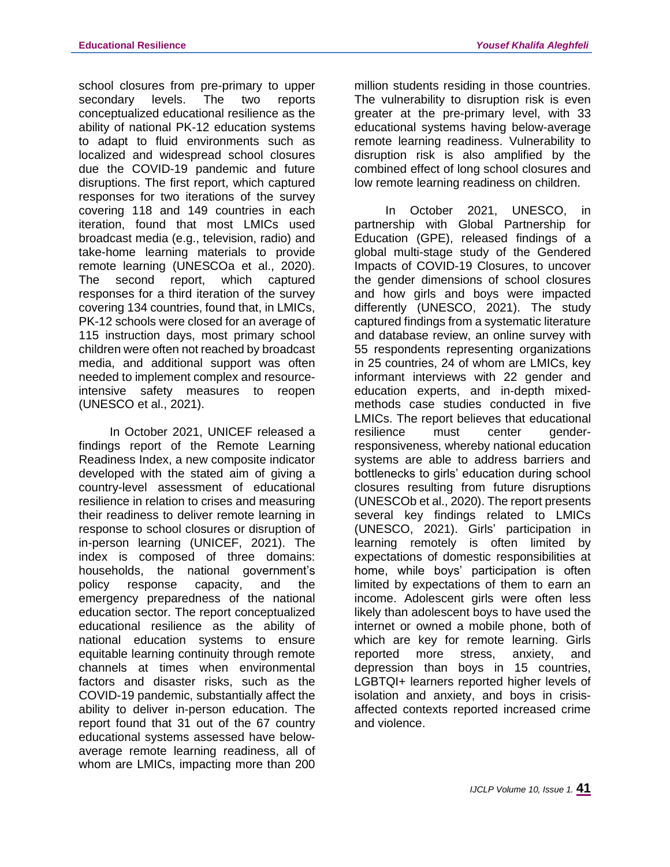school closures from pre-primary to upper secondary levels. The two reports conceptualized educational resilience as the ability of national PK-12 education systems to adapt to fluid environments such as localized and widespread school closures due the COVID-19 pandemic and future disruptions. The first report, which captured responses for two iterations of the survey covering 118 and 149 countries in each iteration, found that most LMICs used broadcast media (e.g., television, radio) and take-home learning materials to provide remote learning (UNESCOa et al., 2020). The second report, which captured responses for a third iteration of the survey covering 134 countries, found that, in LMICs, PK-12 schools were closed for an average of 115 instruction days, most primary school children were often not reached by broadcast media, and additional support was often needed to implement complex and resourceintensive safety measures to reopen (UNESCO et al., 2021).

In October 2021, UNICEF released a findings report of the Remote Learning Readiness Index, a new composite indicator developed with the stated aim of giving a country-level assessment of educational resilience in relation to crises and measuring their readiness to deliver remote learning in response to school closures or disruption of in-person learning (UNICEF, 2021). The index is composed of three domains: households, the national government's policy response capacity, and the emergency preparedness of the national education sector. The report conceptualized educational resilience as the ability of national education systems to ensure equitable learning continuity through remote channels at times when environmental factors and disaster risks, such as the COVID-19 pandemic, substantially affect the ability to deliver in-person education. The report found that 31 out of the 67 country educational systems assessed have belowaverage remote learning readiness, all of whom are LMICs, impacting more than 200

million students residing in those countries. The vulnerability to disruption risk is even greater at the pre-primary level, with 33 educational systems having below-average remote learning readiness. Vulnerability to disruption risk is also amplified by the combined effect of long school closures and low remote learning readiness on children.

In October 2021, UNESCO, in partnership with Global Partnership for Education (GPE), released findings of a global multi-stage study of the Gendered Impacts of COVID-19 Closures, to uncover the gender dimensions of school closures and how girls and boys were impacted differently (UNESCO, 2021). The study captured findings from a systematic literature and database review, an online survey with 55 respondents representing organizations in 25 countries, 24 of whom are LMICs, key informant interviews with 22 gender and education experts, and in-depth mixedmethods case studies conducted in five LMICs. The report believes that educational resilience must center genderresponsiveness, whereby national education systems are able to address barriers and bottlenecks to girls' education during school closures resulting from future disruptions (UNESCOb et al., 2020). The report presents several key findings related to LMICs (UNESCO, 2021). Girls' participation in learning remotely is often limited by expectations of domestic responsibilities at home, while boys' participation is often limited by expectations of them to earn an income. Adolescent girls were often less likely than adolescent boys to have used the internet or owned a mobile phone, both of which are key for remote learning. Girls reported more stress, anxiety, and depression than boys in 15 countries, LGBTQI+ learners reported higher levels of isolation and anxiety, and boys in crisisaffected contexts reported increased crime and violence.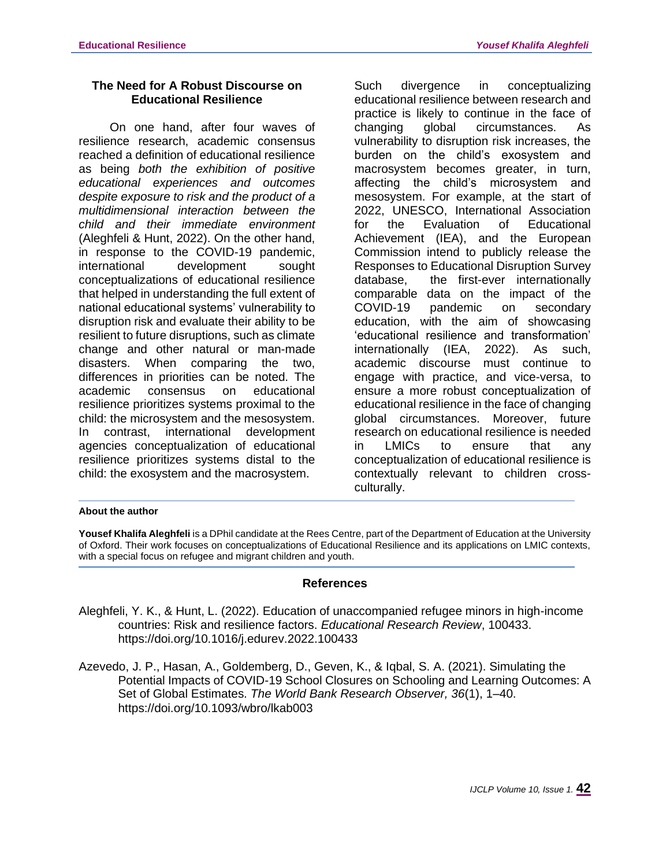## **The Need for A Robust Discourse on Educational Resilience**

On one hand, after four waves of resilience research, academic consensus reached a definition of educational resilience as being *both the exhibition of positive educational experiences and outcomes despite exposure to risk and the product of a multidimensional interaction between the child and their immediate environment* (Aleghfeli & Hunt, 2022). On the other hand, in response to the COVID-19 pandemic, international development sought conceptualizations of educational resilience that helped in understanding the full extent of national educational systems' vulnerability to disruption risk and evaluate their ability to be resilient to future disruptions, such as climate change and other natural or man-made disasters. When comparing the two, differences in priorities can be noted. The academic consensus on educational resilience prioritizes systems proximal to the child: the microsystem and the mesosystem. In contrast, international development agencies conceptualization of educational resilience prioritizes systems distal to the child: the exosystem and the macrosystem.

Such divergence in conceptualizing educational resilience between research and practice is likely to continue in the face of changing global circumstances. As vulnerability to disruption risk increases, the burden on the child's exosystem and macrosystem becomes greater, in turn, affecting the child's microsystem and mesosystem. For example, at the start of 2022, UNESCO, International Association for the Evaluation of Educational Achievement (IEA), and the European Commission intend to publicly release the Responses to Educational Disruption Survey database, the first-ever internationally comparable data on the impact of the COVID-19 pandemic on secondary education, with the aim of showcasing 'educational resilience and transformation' internationally (IEA, 2022). As such, academic discourse must continue to engage with practice, and vice-versa, to ensure a more robust conceptualization of educational resilience in the face of changing global circumstances. Moreover, future research on educational resilience is needed in LMICs to ensure that any conceptualization of educational resilience is contextually relevant to children crossculturally.

### **About the author**

**Yousef Khalifa Aleghfeli** is a DPhil candidate at the Rees Centre, part of the Department of Education at the University of Oxford. Their work focuses on conceptualizations of Educational Resilience and its applications on LMIC contexts, with a special focus on refugee and migrant children and youth.

### **References**

Aleghfeli, Y. K., & Hunt, L. (2022). Education of unaccompanied refugee minors in high-income countries: Risk and resilience factors. *Educational Research Review*, 100433. https://doi.org/10.1016/j.edurev.2022.100433

Azevedo, J. P., Hasan, A., Goldemberg, D., Geven, K., & Iqbal, S. A. (2021). Simulating the Potential Impacts of COVID-19 School Closures on Schooling and Learning Outcomes: A Set of Global Estimates. *The World Bank Research Observer, 36*(1), 1–40. https://doi.org/10.1093/wbro/lkab003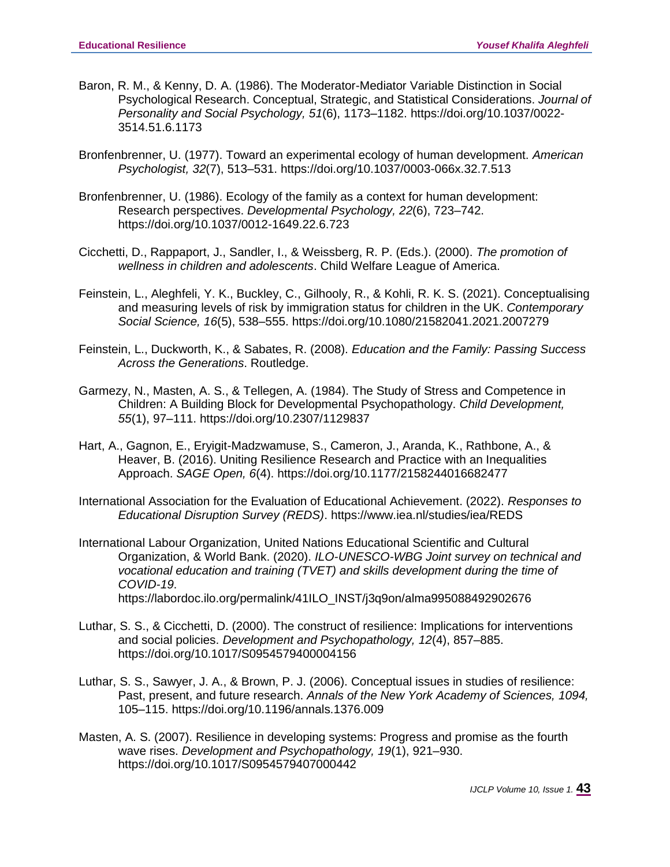- Baron, R. M., & Kenny, D. A. (1986). The Moderator-Mediator Variable Distinction in Social Psychological Research. Conceptual, Strategic, and Statistical Considerations. *Journal of Personality and Social Psychology, 51*(6), 1173–1182. https://doi.org/10.1037/0022- 3514.51.6.1173
- Bronfenbrenner, U. (1977). Toward an experimental ecology of human development. *American Psychologist, 32*(7), 513–531. https://doi.org/10.1037/0003-066x.32.7.513
- Bronfenbrenner, U. (1986). Ecology of the family as a context for human development: Research perspectives. *Developmental Psychology, 22*(6), 723–742. https://doi.org/10.1037/0012-1649.22.6.723
- Cicchetti, D., Rappaport, J., Sandler, I., & Weissberg, R. P. (Eds.). (2000). *The promotion of wellness in children and adolescents*. Child Welfare League of America.
- Feinstein, L., Aleghfeli, Y. K., Buckley, C., Gilhooly, R., & Kohli, R. K. S. (2021). Conceptualising and measuring levels of risk by immigration status for children in the UK. *Contemporary Social Science, 16*(5), 538–555. https://doi.org/10.1080/21582041.2021.2007279
- Feinstein, L., Duckworth, K., & Sabates, R. (2008). *Education and the Family: Passing Success Across the Generations*. Routledge.
- Garmezy, N., Masten, A. S., & Tellegen, A. (1984). The Study of Stress and Competence in Children: A Building Block for Developmental Psychopathology. *Child Development, 55*(1), 97–111. https://doi.org/10.2307/1129837
- Hart, A., Gagnon, E., Eryigit-Madzwamuse, S., Cameron, J., Aranda, K., Rathbone, A., & Heaver, B. (2016). Uniting Resilience Research and Practice with an Inequalities Approach. *SAGE Open, 6*(4). https://doi.org/10.1177/2158244016682477
- International Association for the Evaluation of Educational Achievement. (2022). *Responses to Educational Disruption Survey (REDS)*. https://www.iea.nl/studies/iea/REDS
- International Labour Organization, United Nations Educational Scientific and Cultural Organization, & World Bank. (2020). *ILO-UNESCO-WBG Joint survey on technical and vocational education and training (TVET) and skills development during the time of COVID-19*. https://labordoc.ilo.org/permalink/41ILO\_INST/j3q9on/alma995088492902676
- Luthar, S. S., & Cicchetti, D. (2000). The construct of resilience: Implications for interventions and social policies. *Development and Psychopathology, 12*(4), 857–885. https://doi.org/10.1017/S0954579400004156
- Luthar, S. S., Sawyer, J. A., & Brown, P. J. (2006). Conceptual issues in studies of resilience: Past, present, and future research. *Annals of the New York Academy of Sciences, 1094,* 105–115. https://doi.org/10.1196/annals.1376.009
- Masten, A. S. (2007). Resilience in developing systems: Progress and promise as the fourth wave rises. *Development and Psychopathology, 19*(1), 921–930. https://doi.org/10.1017/S0954579407000442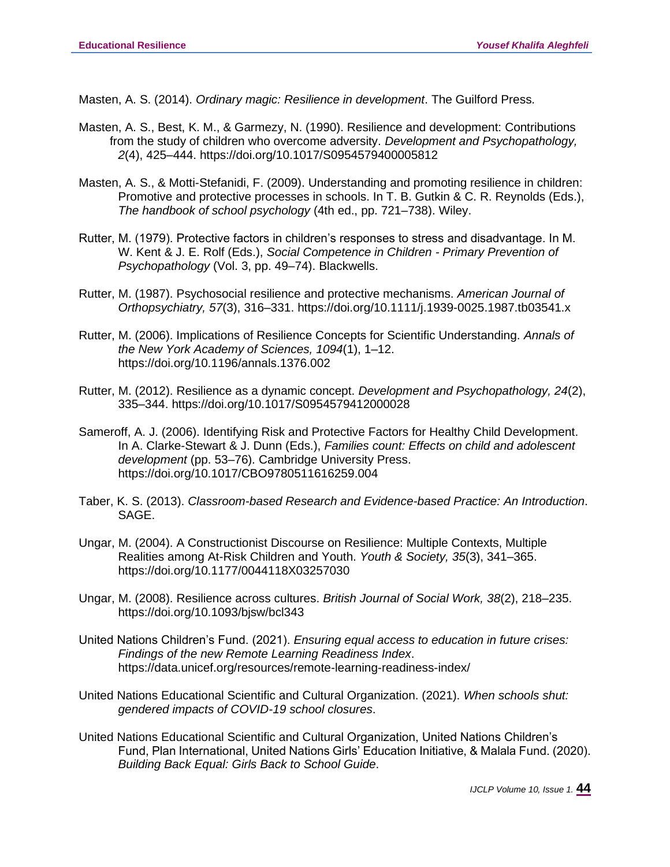Masten, A. S. (2014). *Ordinary magic: Resilience in development*. The Guilford Press.

- Masten, A. S., Best, K. M., & Garmezy, N. (1990). Resilience and development: Contributions from the study of children who overcome adversity. *Development and Psychopathology, 2*(4), 425–444. https://doi.org/10.1017/S0954579400005812
- Masten, A. S., & Motti-Stefanidi, F. (2009). Understanding and promoting resilience in children: Promotive and protective processes in schools. In T. B. Gutkin & C. R. Reynolds (Eds.), *The handbook of school psychology* (4th ed., pp. 721–738). Wiley.
- Rutter, M. (1979). Protective factors in children's responses to stress and disadvantage. In M. W. Kent & J. E. Rolf (Eds.), *Social Competence in Children - Primary Prevention of Psychopathology* (Vol. 3, pp. 49–74). Blackwells.
- Rutter, M. (1987). Psychosocial resilience and protective mechanisms. *American Journal of Orthopsychiatry, 57*(3), 316–331. https://doi.org/10.1111/j.1939-0025.1987.tb03541.x
- Rutter, M. (2006). Implications of Resilience Concepts for Scientific Understanding. *Annals of the New York Academy of Sciences, 1094*(1), 1–12. https://doi.org/10.1196/annals.1376.002
- Rutter, M. (2012). Resilience as a dynamic concept. *Development and Psychopathology, 24*(2), 335–344. https://doi.org/10.1017/S0954579412000028
- Sameroff, A. J. (2006). Identifying Risk and Protective Factors for Healthy Child Development. In A. Clarke-Stewart & J. Dunn (Eds.), *Families count: Effects on child and adolescent development* (pp. 53–76). Cambridge University Press. https://doi.org/10.1017/CBO9780511616259.004
- Taber, K. S. (2013). *Classroom-based Research and Evidence-based Practice: An Introduction*. SAGE.
- Ungar, M. (2004). A Constructionist Discourse on Resilience: Multiple Contexts, Multiple Realities among At-Risk Children and Youth. *Youth & Society, 35*(3), 341–365. https://doi.org/10.1177/0044118X03257030
- Ungar, M. (2008). Resilience across cultures. *British Journal of Social Work, 38*(2), 218–235. https://doi.org/10.1093/bjsw/bcl343
- United Nations Children's Fund. (2021). *Ensuring equal access to education in future crises: Findings of the new Remote Learning Readiness Index*. https://data.unicef.org/resources/remote-learning-readiness-index/
- United Nations Educational Scientific and Cultural Organization. (2021). *When schools shut: gendered impacts of COVID-19 school closures*.
- United Nations Educational Scientific and Cultural Organization, United Nations Children's Fund, Plan International, United Nations Girls' Education Initiative, & Malala Fund. (2020). *Building Back Equal: Girls Back to School Guide*.